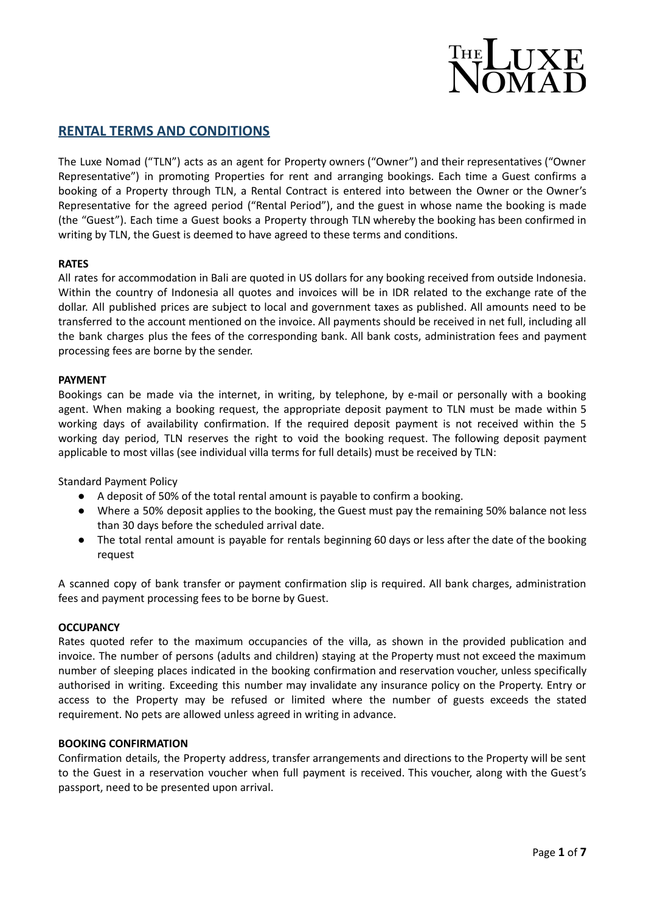

# **RENTAL TERMS AND CONDITIONS**

The Luxe Nomad ("TLN") acts as an agent for Property owners ("Owner") and their representatives ("Owner Representative") in promoting Properties for rent and arranging bookings. Each time a Guest confirms a booking of a Property through TLN, a Rental Contract is entered into between the Owner or the Owner's Representative for the agreed period ("Rental Period"), and the guest in whose name the booking is made (the "Guest"). Each time a Guest books a Property through TLN whereby the booking has been confirmed in writing by TLN, the Guest is deemed to have agreed to these terms and conditions.

## **RATES**

All rates for accommodation in Bali are quoted in US dollars for any booking received from outside Indonesia. Within the country of Indonesia all quotes and invoices will be in IDR related to the exchange rate of the dollar. All published prices are subject to local and government taxes as published. All amounts need to be transferred to the account mentioned on the invoice. All payments should be received in net full, including all the bank charges plus the fees of the corresponding bank. All bank costs, administration fees and payment processing fees are borne by the sender.

## **PAYMENT**

Bookings can be made via the internet, in writing, by telephone, by e-mail or personally with a booking agent. When making a booking request, the appropriate deposit payment to TLN must be made within 5 working days of availability confirmation. If the required deposit payment is not received within the 5 working day period, TLN reserves the right to void the booking request. The following deposit payment applicable to most villas (see individual villa terms for full details) must be received by TLN:

Standard Payment Policy

- A deposit of 50% of the total rental amount is payable to confirm a booking.
- Where a 50% deposit applies to the booking, the Guest must pay the remaining 50% balance not less than 30 days before the scheduled arrival date.
- The total rental amount is payable for rentals beginning 60 days or less after the date of the booking request

A scanned copy of bank transfer or payment confirmation slip is required. All bank charges, administration fees and payment processing fees to be borne by Guest.

# **OCCUPANCY**

Rates quoted refer to the maximum occupancies of the villa, as shown in the provided publication and invoice. The number of persons (adults and children) staying at the Property must not exceed the maximum number of sleeping places indicated in the booking confirmation and reservation voucher, unless specifically authorised in writing. Exceeding this number may invalidate any insurance policy on the Property. Entry or access to the Property may be refused or limited where the number of guests exceeds the stated requirement. No pets are allowed unless agreed in writing in advance.

#### **BOOKING CONFIRMATION**

Confirmation details, the Property address, transfer arrangements and directions to the Property will be sent to the Guest in a reservation voucher when full payment is received. This voucher, along with the Guest's passport, need to be presented upon arrival.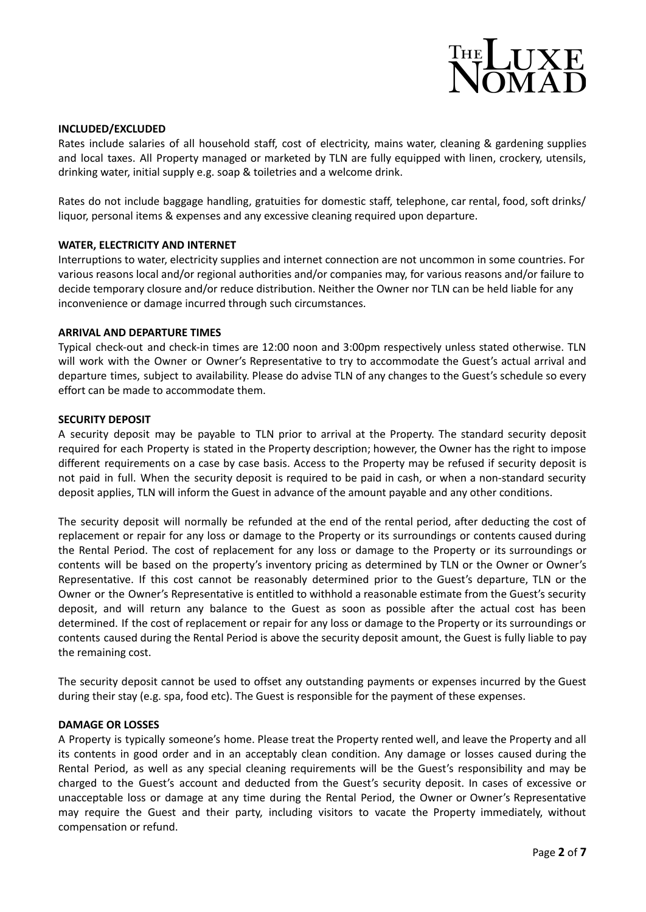

## **INCLUDED/EXCLUDED**

Rates include salaries of all household staff, cost of electricity, mains water, cleaning & gardening supplies and local taxes. All Property managed or marketed by TLN are fully equipped with linen, crockery, utensils, drinking water, initial supply e.g. soap & toiletries and a welcome drink.

Rates do not include baggage handling, gratuities for domestic staff, telephone, car rental, food, soft drinks/ liquor, personal items & expenses and any excessive cleaning required upon departure.

#### **WATER, ELECTRICITY AND INTERNET**

Interruptions to water, electricity supplies and internet connection are not uncommon in some countries. For various reasons local and/or regional authorities and/or companies may, for various reasons and/or failure to decide temporary closure and/or reduce distribution. Neither the Owner nor TLN can be held liable for any inconvenience or damage incurred through such circumstances.

#### **ARRIVAL AND DEPARTURE TIMES**

Typical check-out and check-in times are 12:00 noon and 3:00pm respectively unless stated otherwise. TLN will work with the Owner or Owner's Representative to try to accommodate the Guest's actual arrival and departure times, subject to availability. Please do advise TLN of any changes to the Guest's schedule so every effort can be made to accommodate them.

## **SECURITY DEPOSIT**

A security deposit may be payable to TLN prior to arrival at the Property. The standard security deposit required for each Property is stated in the Property description; however, the Owner has the right to impose different requirements on a case by case basis. Access to the Property may be refused if security deposit is not paid in full. When the security deposit is required to be paid in cash, or when a non-standard security deposit applies, TLN will inform the Guest in advance of the amount payable and any other conditions.

The security deposit will normally be refunded at the end of the rental period, after deducting the cost of replacement or repair for any loss or damage to the Property or its surroundings or contents caused during the Rental Period. The cost of replacement for any loss or damage to the Property or its surroundings or contents will be based on the property's inventory pricing as determined by TLN or the Owner or Owner's Representative. If this cost cannot be reasonably determined prior to the Guest's departure, TLN or the Owner or the Owner's Representative is entitled to withhold a reasonable estimate from the Guest's security deposit, and will return any balance to the Guest as soon as possible after the actual cost has been determined. If the cost of replacement or repair for any loss or damage to the Property or its surroundings or contents caused during the Rental Period is above the security deposit amount, the Guest is fully liable to pay the remaining cost.

The security deposit cannot be used to offset any outstanding payments or expenses incurred by the Guest during their stay (e.g. spa, food etc). The Guest is responsible for the payment of these expenses.

#### **DAMAGE OR LOSSES**

A Property is typically someone's home. Please treat the Property rented well, and leave the Property and all its contents in good order and in an acceptably clean condition. Any damage or losses caused during the Rental Period, as well as any special cleaning requirements will be the Guest's responsibility and may be charged to the Guest's account and deducted from the Guest's security deposit. In cases of excessive or unacceptable loss or damage at any time during the Rental Period, the Owner or Owner's Representative may require the Guest and their party, including visitors to vacate the Property immediately, without compensation or refund.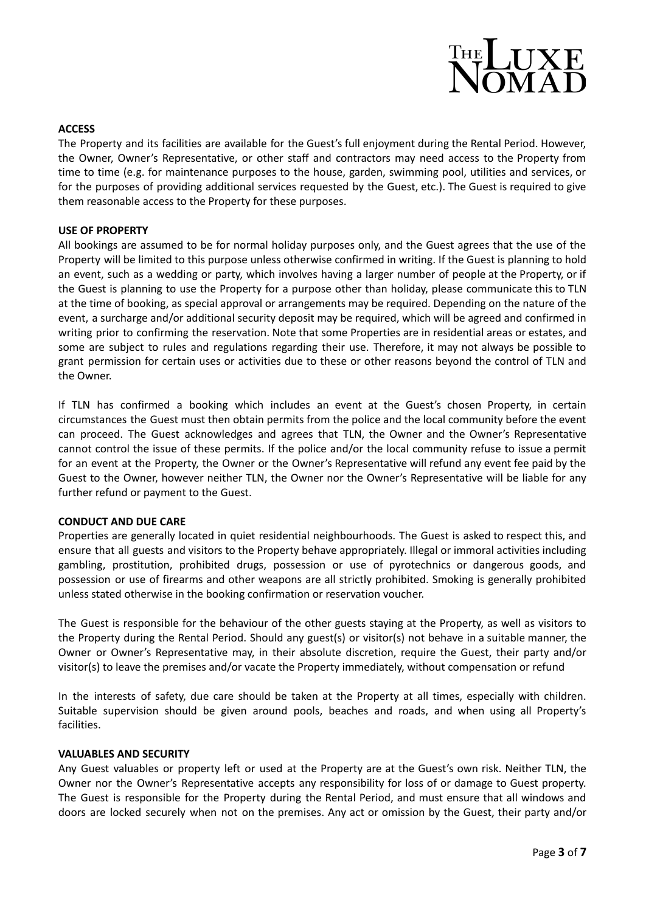

## **ACCESS**

The Property and its facilities are available for the Guest's full enjoyment during the Rental Period. However, the Owner, Owner's Representative, or other staff and contractors may need access to the Property from time to time (e.g. for maintenance purposes to the house, garden, swimming pool, utilities and services, or for the purposes of providing additional services requested by the Guest, etc.). The Guest is required to give them reasonable access to the Property for these purposes.

## **USE OF PROPERTY**

All bookings are assumed to be for normal holiday purposes only, and the Guest agrees that the use of the Property will be limited to this purpose unless otherwise confirmed in writing. If the Guest is planning to hold an event, such as a wedding or party, which involves having a larger number of people at the Property, or if the Guest is planning to use the Property for a purpose other than holiday, please communicate this to TLN at the time of booking, as special approval or arrangements may be required. Depending on the nature of the event, a surcharge and/or additional security deposit may be required, which will be agreed and confirmed in writing prior to confirming the reservation. Note that some Properties are in residential areas or estates, and some are subject to rules and regulations regarding their use. Therefore, it may not always be possible to grant permission for certain uses or activities due to these or other reasons beyond the control of TLN and the Owner.

If TLN has confirmed a booking which includes an event at the Guest's chosen Property, in certain circumstances the Guest must then obtain permits from the police and the local community before the event can proceed. The Guest acknowledges and agrees that TLN, the Owner and the Owner's Representative cannot control the issue of these permits. If the police and/or the local community refuse to issue a permit for an event at the Property, the Owner or the Owner's Representative will refund any event fee paid by the Guest to the Owner, however neither TLN, the Owner nor the Owner's Representative will be liable for any further refund or payment to the Guest.

#### **CONDUCT AND DUE CARE**

Properties are generally located in quiet residential neighbourhoods. The Guest is asked to respect this, and ensure that all guests and visitors to the Property behave appropriately. Illegal or immoral activities including gambling, prostitution, prohibited drugs, possession or use of pyrotechnics or dangerous goods, and possession or use of firearms and other weapons are all strictly prohibited. Smoking is generally prohibited unless stated otherwise in the booking confirmation or reservation voucher.

The Guest is responsible for the behaviour of the other guests staying at the Property, as well as visitors to the Property during the Rental Period. Should any guest(s) or visitor(s) not behave in a suitable manner, the Owner or Owner's Representative may, in their absolute discretion, require the Guest, their party and/or visitor(s) to leave the premises and/or vacate the Property immediately, without compensation or refund

In the interests of safety, due care should be taken at the Property at all times, especially with children. Suitable supervision should be given around pools, beaches and roads, and when using all Property's facilities.

#### **VALUABLES AND SECURITY**

Any Guest valuables or property left or used at the Property are at the Guest's own risk. Neither TLN, the Owner nor the Owner's Representative accepts any responsibility for loss of or damage to Guest property. The Guest is responsible for the Property during the Rental Period, and must ensure that all windows and doors are locked securely when not on the premises. Any act or omission by the Guest, their party and/or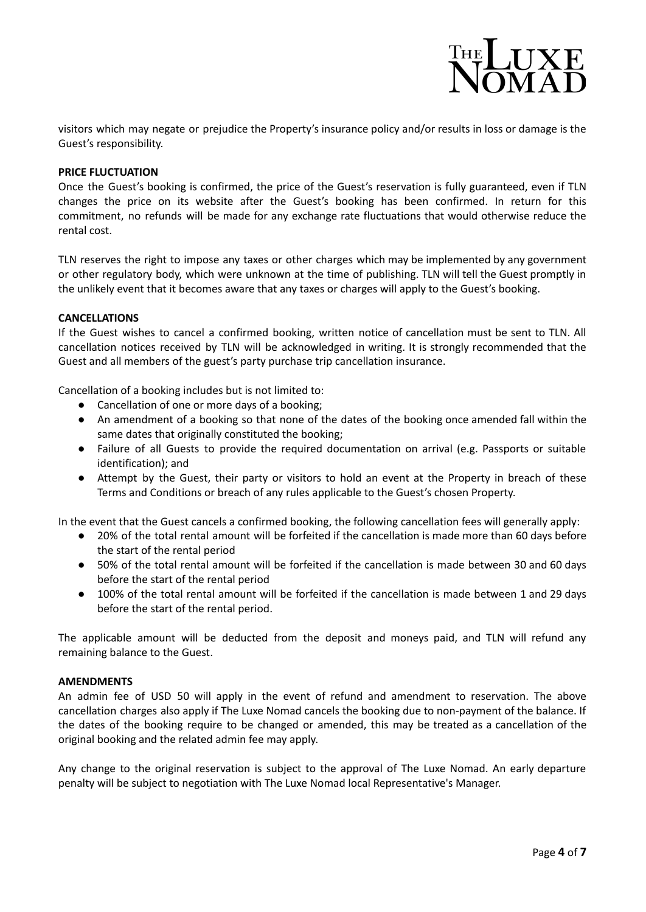

visitors which may negate or prejudice the Property's insurance policy and/or results in loss or damage is the Guest's responsibility.

## **PRICE FLUCTUATION**

Once the Guest's booking is confirmed, the price of the Guest's reservation is fully guaranteed, even if TLN changes the price on its website after the Guest's booking has been confirmed. In return for this commitment, no refunds will be made for any exchange rate fluctuations that would otherwise reduce the rental cost.

TLN reserves the right to impose any taxes or other charges which may be implemented by any government or other regulatory body, which were unknown at the time of publishing. TLN will tell the Guest promptly in the unlikely event that it becomes aware that any taxes or charges will apply to the Guest's booking.

## **CANCELLATIONS**

If the Guest wishes to cancel a confirmed booking, written notice of cancellation must be sent to TLN. All cancellation notices received by TLN will be acknowledged in writing. It is strongly recommended that the Guest and all members of the guest's party purchase trip cancellation insurance.

Cancellation of a booking includes but is not limited to:

- Cancellation of one or more days of a booking;
- An amendment of a booking so that none of the dates of the booking once amended fall within the same dates that originally constituted the booking;
- Failure of all Guests to provide the required documentation on arrival (e.g. Passports or suitable identification); and
- Attempt by the Guest, their party or visitors to hold an event at the Property in breach of these Terms and Conditions or breach of any rules applicable to the Guest's chosen Property.

In the event that the Guest cancels a confirmed booking, the following cancellation fees will generally apply:

- 20% of the total rental amount will be forfeited if the cancellation is made more than 60 days before the start of the rental period
- 50% of the total rental amount will be forfeited if the cancellation is made between 30 and 60 days before the start of the rental period
- 100% of the total rental amount will be forfeited if the cancellation is made between 1 and 29 days before the start of the rental period.

The applicable amount will be deducted from the deposit and moneys paid, and TLN will refund any remaining balance to the Guest.

## **AMENDMENTS**

An admin fee of USD 50 will apply in the event of refund and amendment to reservation. The above cancellation charges also apply if The Luxe Nomad cancels the booking due to non-payment of the balance. If the dates of the booking require to be changed or amended, this may be treated as a cancellation of the original booking and the related admin fee may apply.

Any change to the original reservation is subject to the approval of The Luxe Nomad. An early departure penalty will be subject to negotiation with The Luxe Nomad local Representative's Manager.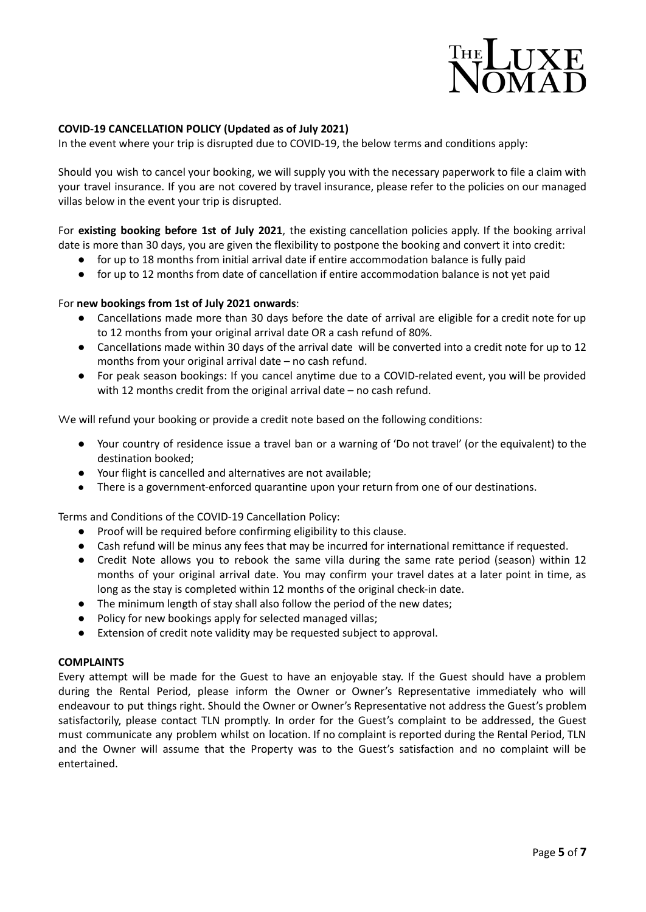

# **COVID-19 CANCELLATION POLICY (Updated as of July 2021)**

In the event where your trip is disrupted due to COVID-19, the below terms and conditions apply:

Should you wish to cancel your booking, we will supply you with the necessary paperwork to file a claim with your travel insurance. If you are not covered by travel insurance, please refer to the policies on our managed villas below in the event your trip is disrupted.

For **existing booking before 1st of July 2021**, the existing cancellation policies apply. If the booking arrival date is more than 30 days, you are given the flexibility to postpone the booking and convert it into credit:

- for up to 18 months from initial arrival date if entire accommodation balance is fully paid
- for up to 12 months from date of cancellation if entire accommodation balance is not yet paid

## For **new bookings from 1st of July 2021 onwards**:

- Cancellations made more than 30 days before the date of arrival are eligible for a credit note for up to 12 months from your original arrival date OR a cash refund of 80%.
- Cancellations made within 30 days of the arrival date will be converted into a credit note for up to 12 months from your original arrival date – no cash refund.
- For peak season bookings: If you cancel anytime due to a COVID-related event, you will be provided with 12 months credit from the original arrival date – no cash refund.

We will refund your booking or provide a credit note based on the following conditions:

- Your country of residence issue a travel ban or a warning of 'Do not travel' (or the equivalent) to the destination booked;
- Your flight is cancelled and alternatives are not available;
- There is a government-enforced quarantine upon your return from one of our destinations.

Terms and Conditions of the COVID-19 Cancellation Policy:

- Proof will be required before confirming eligibility to this clause.
- Cash refund will be minus any fees that may be incurred for international remittance if requested.
- Credit Note allows you to rebook the same villa during the same rate period (season) within 12 months of your original arrival date. You may confirm your travel dates at a later point in time, as long as the stay is completed within 12 months of the original check-in date.
- The minimum length of stay shall also follow the period of the new dates;
- Policy for new bookings apply for selected managed villas;
- Extension of credit note validity may be requested subject to approval.

#### **COMPLAINTS**

Every attempt will be made for the Guest to have an enjoyable stay. If the Guest should have a problem during the Rental Period, please inform the Owner or Owner's Representative immediately who will endeavour to put things right. Should the Owner or Owner's Representative not address the Guest's problem satisfactorily, please contact TLN promptly. In order for the Guest's complaint to be addressed, the Guest must communicate any problem whilst on location. If no complaint is reported during the Rental Period, TLN and the Owner will assume that the Property was to the Guest's satisfaction and no complaint will be entertained.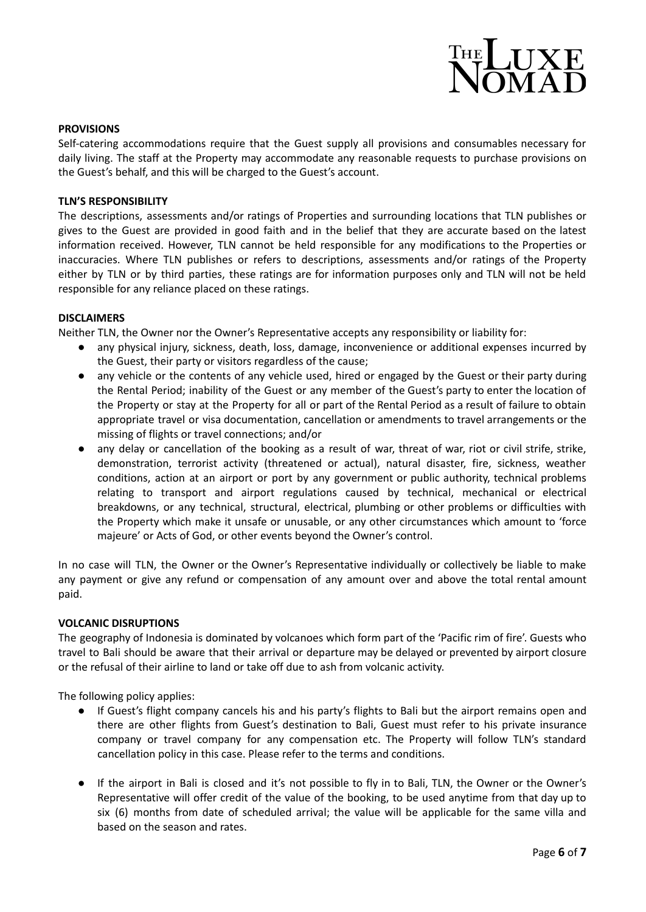

#### **PROVISIONS**

Self-catering accommodations require that the Guest supply all provisions and consumables necessary for daily living. The staff at the Property may accommodate any reasonable requests to purchase provisions on the Guest's behalf, and this will be charged to the Guest's account.

#### **TLN'S RESPONSIBILITY**

The descriptions, assessments and/or ratings of Properties and surrounding locations that TLN publishes or gives to the Guest are provided in good faith and in the belief that they are accurate based on the latest information received. However, TLN cannot be held responsible for any modifications to the Properties or inaccuracies. Where TLN publishes or refers to descriptions, assessments and/or ratings of the Property either by TLN or by third parties, these ratings are for information purposes only and TLN will not be held responsible for any reliance placed on these ratings.

#### **DISCLAIMERS**

Neither TLN, the Owner nor the Owner's Representative accepts any responsibility or liability for:

- any physical injury, sickness, death, loss, damage, inconvenience or additional expenses incurred by the Guest, their party or visitors regardless of the cause;
- any vehicle or the contents of any vehicle used, hired or engaged by the Guest or their party during the Rental Period; inability of the Guest or any member of the Guest's party to enter the location of the Property or stay at the Property for all or part of the Rental Period as a result of failure to obtain appropriate travel or visa documentation, cancellation or amendments to travel arrangements or the missing of flights or travel connections; and/or
- any delay or cancellation of the booking as a result of war, threat of war, riot or civil strife, strike, demonstration, terrorist activity (threatened or actual), natural disaster, fire, sickness, weather conditions, action at an airport or port by any government or public authority, technical problems relating to transport and airport regulations caused by technical, mechanical or electrical breakdowns, or any technical, structural, electrical, plumbing or other problems or difficulties with the Property which make it unsafe or unusable, or any other circumstances which amount to 'force majeure' or Acts of God, or other events beyond the Owner's control.

In no case will TLN, the Owner or the Owner's Representative individually or collectively be liable to make any payment or give any refund or compensation of any amount over and above the total rental amount paid.

#### **VOLCANIC DISRUPTIONS**

The geography of Indonesia is dominated by volcanoes which form part of the 'Pacific rim of fire'. Guests who travel to Bali should be aware that their arrival or departure may be delayed or prevented by airport closure or the refusal of their airline to land or take off due to ash from volcanic activity.

The following policy applies:

- If Guest's flight company cancels his and his party's flights to Bali but the airport remains open and there are other flights from Guest's destination to Bali, Guest must refer to his private insurance company or travel company for any compensation etc. The Property will follow TLN's standard cancellation policy in this case. Please refer to the terms and conditions.
- If the airport in Bali is closed and it's not possible to fly in to Bali, TLN, the Owner or the Owner's Representative will offer credit of the value of the booking, to be used anytime from that day up to six (6) months from date of scheduled arrival; the value will be applicable for the same villa and based on the season and rates.